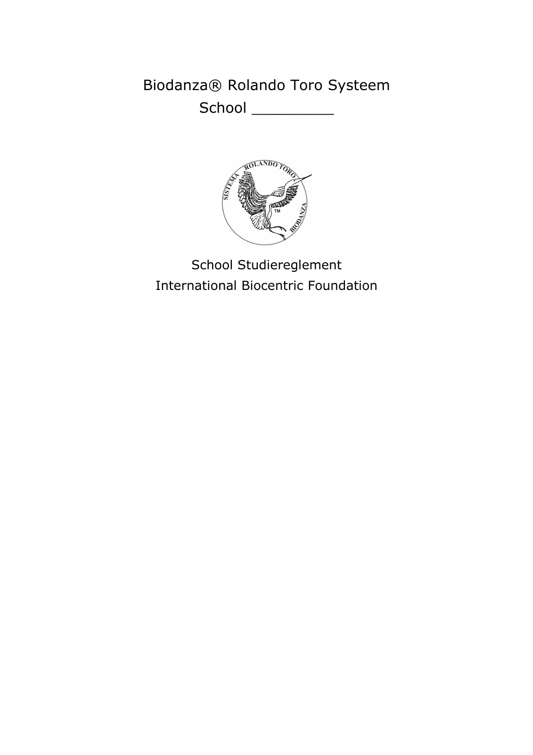# Biodanza® Rolando Toro Systeem

School \_\_\_\_\_\_\_\_\_\_



School Studiereglement **International Biocentric Foundation**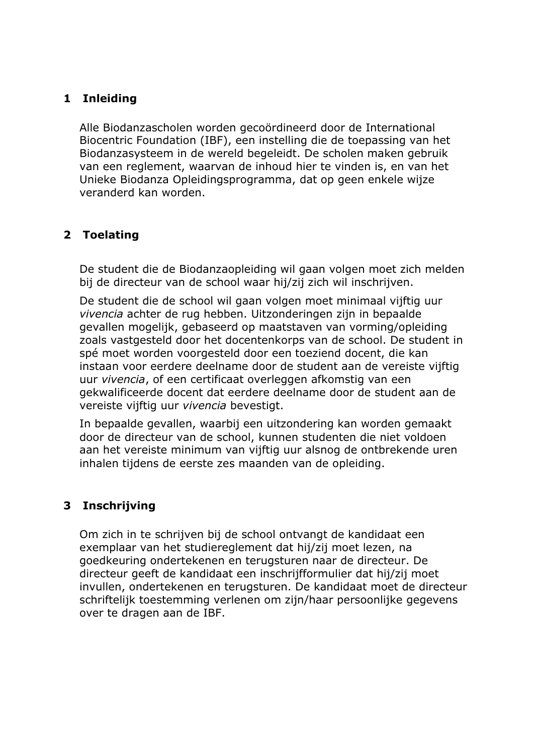## 1 Inleiding

Alle Biodanzascholen worden gecoördineerd door de International Biocentric Foundation (IBF), een instelling die de toepassing van het Biodanzasysteem in de wereld begeleidt. De scholen maken gebruik van een reglement, waarvan de inhoud hier te vinden is, en van het Unieke Biodanza Opleidingsprogramma, dat op geen enkele wijze veranderd kan worden.

# 2 Toelating

De student die de Biodanzaopleiding wil gaan volgen moet zich melden bij de directeur van de school waar hij/zij zich wil inschrijven.

De student die de school wil gaan volgen moet minimaal vijftig uur vivencia achter de rug hebben. Uitzonderingen zijn in bepaalde gevallen mogelijk, gebaseerd op maatstaven van vorming/opleiding zoals vastgesteld door het docentenkorps van de school. De student in spé moet worden voorgesteld door een toeziend docent, die kan instaan voor eerdere deelname door de student aan de vereiste vijftig uur vivencia, of een certificaat overleggen afkomstig van een gekwalificeerde docent dat eerdere deelname door de student aan de vereiste vijftig uur vivencia bevestigt.

In bepaalde gevallen, waarbij een uitzondering kan worden gemaakt door de directeur van de school, kunnen studenten die niet voldoen aan het vereiste minimum van vijftig uur alsnog de ontbrekende uren inhalen tijdens de eerste zes maanden van de opleiding.

# 3 Inschrijving

Om zich in te schrijven bij de school ontvangt de kandidaat een exemplaar van het studiereglement dat hij/zij moet lezen, na goedkeuring ondertekenen en terugsturen naar de directeur. De directeur geeft de kandidaat een inschrijfformulier dat hij/zij moet invullen, ondertekenen en terugsturen. De kandidaat moet de directeur schriftelijk toestemming verlenen om zijn/haar persoonlijke gegevens over te dragen aan de IBF.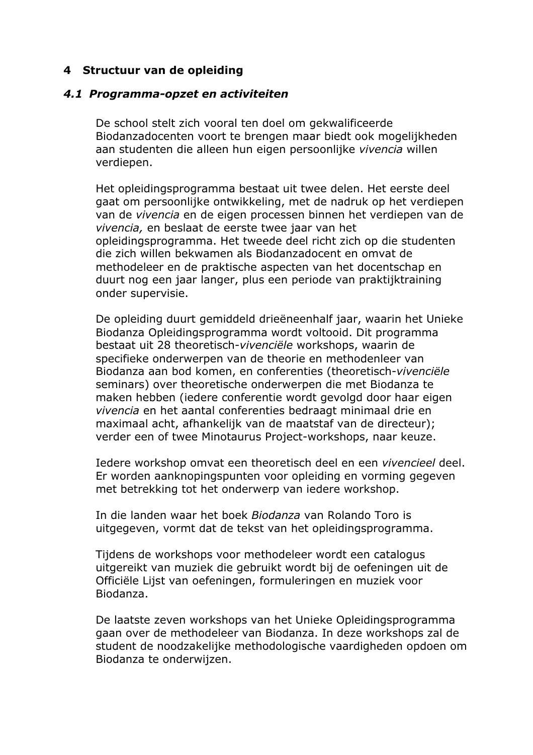#### 4 Structuur van de opleiding

#### 4.1 Programma-opzet en activiteiten

De school stelt zich vooral ten doel om gekwalificeerde Biodanzadocenten voort te brengen maar biedt ook mogelijkheden aan studenten die alleen hun eigen persoonlijke vivencia willen verdiepen.

Het opleidingsprogramma bestaat uit twee delen. Het eerste deel gaat om persoonlijke ontwikkeling, met de nadruk op het verdiepen van de vivencia en de eigen processen binnen het verdiepen van de vivencia, en beslaat de eerste twee jaar van het opleidingsprogramma. Het tweede deel richt zich op die studenten die zich willen bekwamen als Biodanzadocent en omvat de methodeleer en de praktische aspecten van het docentschap en duurt nog een jaar langer, plus een periode van praktijktraining onder supervisie.

De opleiding duurt gemiddeld drieëneenhalf jaar, waarin het Unieke Biodanza Opleidingsprogramma wordt voltooid. Dit programma bestaat uit 28 theoretisch-vivenciële workshops, waarin de specifieke onderwerpen van de theorie en methodenleer van Biodanza aan bod komen, en conferenties (theoretisch-vivenciële seminars) over theoretische onderwerpen die met Biodanza te maken hebben (jedere conferentie wordt gevolgd door haar eigen vivencia en het aantal conferenties bedraagt minimaal drie en maximaal acht, afhankelijk van de maatstaf van de directeur); verder een of twee Minotaurus Project-workshops, naar keuze.

Iedere workshop omvat een theoretisch deel en een vivencieel deel. Er worden aanknopingspunten voor opleiding en vorming gegeven met betrekking tot het onderwerp van jedere workshop.

In die landen waar het boek Biodanza van Rolando Toro is uitgegeven, vormt dat de tekst van het opleidingsprogramma.

Tijdens de workshops voor methodeleer wordt een catalogus uitgereikt van muziek die gebruikt wordt bij de oefeningen uit de Officiële Lijst van oefeningen, formuleringen en muziek voor Biodanza.

De laatste zeven workshops van het Unieke Opleidingsprogramma gaan over de methodeleer van Biodanza. In deze workshops zal de student de noodzakelijke methodologische vaardigheden opdoen om Biodanza te onderwiizen.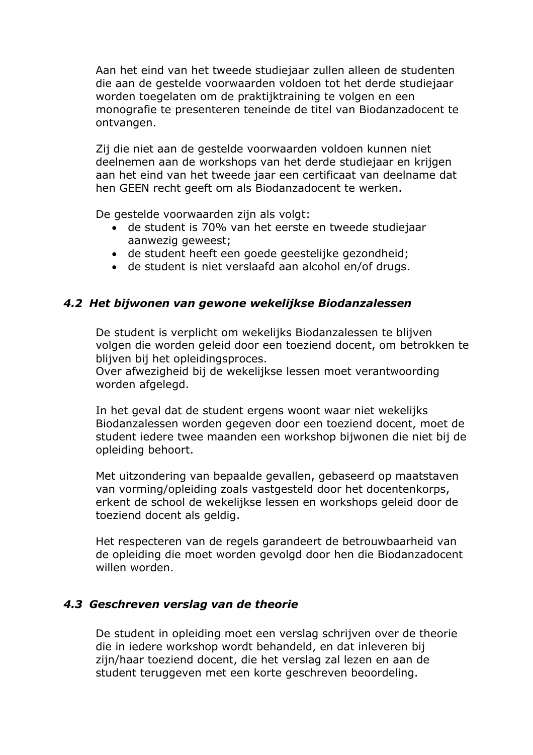Aan het eind van het tweede studiejaar zullen alleen de studenten die aan de gestelde voorwaarden voldoen tot het derde studiejaar worden toegelaten om de praktijktrajning te volgen en een monografie te presenteren teneinde de titel van Biodanzadocent te ontvangen.

Zij die niet aan de gestelde voorwaarden voldoen kunnen niet deelnemen aan de workshops van het derde studiejaar en krijgen aan het eind van het tweede jaar een certificaat van deelname dat hen GEEN recht geeft om als Biodanzadocent te werken.

De gestelde voorwaarden zijn als volgt:

- de student is 70% van het eerste en tweede studiejaar aanwezig geweest:
- de student heeft een goede geestelijke gezondheid;
- de student is niet verslaafd aan alcohol en/of drugs.

#### 4.2 Het bijwonen van gewone wekelijkse Biodanzalessen

De student is verplicht om wekelijks Biodanzalessen te blijven volgen die worden geleid door een toeziend docent, om betrokken te blijven bij het opleidingsproces.

Over afwezigheid bij de wekelijkse lessen moet verantwoording worden afgelegd.

In het geval dat de student ergens woont waar niet wekelijks Biodanzalessen worden gegeven door een toeziend docent, moet de student iedere twee maanden een workshop bijwonen die niet bij de opleiding behoort.

Met uitzondering van bepaalde gevallen, gebaseerd op maatstaven van vorming/opleiding zoals vastgesteld door het docentenkorps, erkent de school de wekelijkse lessen en workshops geleid door de toeziend docent als geldig.

Het respecteren van de regels garandeert de betrouwbaarheid van de opleiding die moet worden gevolgd door hen die Biodanzadocent willen worden.

#### 4.3 Geschreven verslag van de theorie

De student in opleiding moet een verslag schrijven over de theorie die in iedere workshop wordt behandeld, en dat inleveren bij zijn/haar toeziend docent, die het verslag zal lezen en aan de student teruggeven met een korte geschreven beoordeling.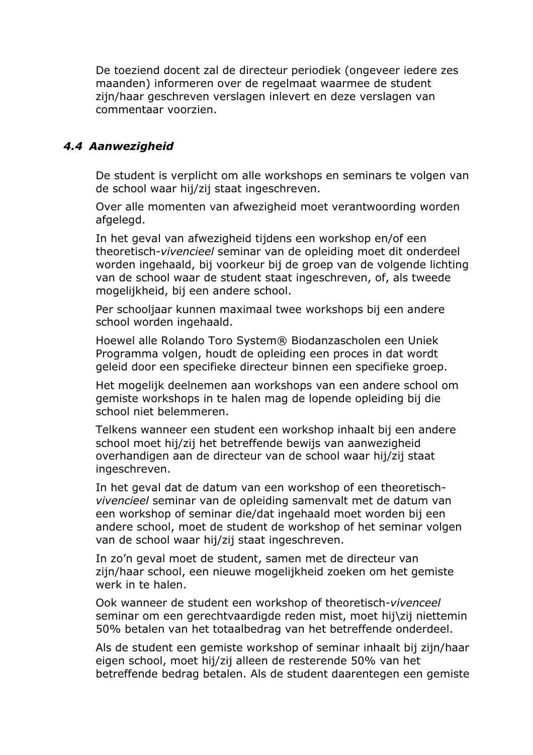De toeziend docent zal de directeur periodiek (ongeveer jedere zes maanden) informeren over de regelmaat waarmee de student zijn/haar geschreven verslagen inlevert en deze verslagen van commentaar voorzien.

#### 4.4 Aanwezigheid

De student is verplicht om alle workshops en seminars te volgen van de school waar hij/zij staat ingeschreven.

Over alle momenten van afwezigheid moet verantwoording worden afgelegd.

In het geval van afwezigheid tijdens een workshop en/of een theoretisch-vivencieel seminar van de opleiding moet dit onderdeel worden ingehaald, bij voorkeur bij de groep van de volgende lichting van de school waar de student staat ingeschreven, of, als tweede mogelijkheid, bij een andere school.

Per schooljaar kunnen maximaal twee workshops bij een andere school worden ingehaald.

Hoewel alle Rolando Toro System® Biodanzascholen een Uniek Programma volgen, houdt de opleiding een proces in dat wordt geleid door een specifieke directeur binnen een specifieke groep.

Het mogelijk deelnemen aan workshops van een andere school om gemiste workshops in te halen mag de lopende opleiding bij die school niet belemmeren.

Telkens wanneer een student een workshop inhaalt bij een andere school moet hij/zij het betreffende bewijs van aanwezigheid overhandigen aan de directeur van de school waar hij/zij staat ingeschreven.

In het geval dat de datum van een workshop of een theoretischvivencieel seminar van de opleiding samenvalt met de datum van een workshop of seminar die/dat ingehaald moet worden bij een andere school, moet de student de workshop of het seminar volgen van de school waar hij/zij staat ingeschreven.

In zo'n geval moet de student, samen met de directeur van zijn/haar school, een nieuwe mogelijkheid zoeken om het gemiste werk in te halen.

Ook wanneer de student een workshop of theoretisch-vivenceel seminar om een gerechtvaardigde reden mist, moet hij\zij niettemin 50% betalen van het totaalbedrag van het betreffende onderdeel.

Als de student een gemiste workshop of seminar inhaalt bij zijn/haar eigen school, moet hij/zij alleen de resterende 50% van het betreffende bedrag betalen. Als de student daarentegen een gemiste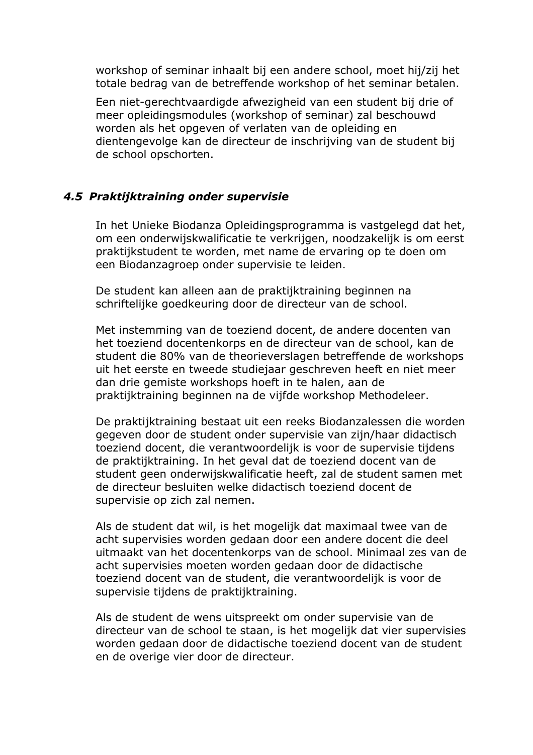workshop of seminar inhaalt bij een andere school, moet hij/zij het totale bedrag van de betreffende workshop of het seminar betalen.

Een niet-gerechtvaardigde afwezigheid van een student bij drie of meer opleidingsmodules (workshop of seminar) zal beschouwd worden als het opgeven of verlaten van de opleiding en dientengevolge kan de directeur de inschrijving van de student bij de school opschorten.

## 4.5 Praktijktraining onder supervisie

In het Unieke Biodanza Opleidingsprogramma is vastgelegd dat het, om een onderwijskwalificatie te verkrijgen, noodzakelijk is om eerst praktijkstudent te worden, met name de ervaring op te doen om een Biodanzagroep onder supervisie te leiden.

De student kan alleen aan de praktijktraining beginnen na schriftelijke goedkeuring door de directeur van de school.

Met instemming van de toeziend docent, de andere docenten van het toeziend docentenkorps en de directeur van de school, kan de student die 80% van de theorieverslagen betreffende de workshops uit het eerste en tweede studiejaar geschreven heeft en niet meer dan drie gemiste workshops hoeft in te halen, aan de praktijktraining beginnen na de vijfde workshop Methodeleer.

De praktijktraining bestaat uit een reeks Biodanzalessen die worden gegeven door de student onder supervisie van zijn/haar didactisch toeziend docent, die verantwoordelijk is voor de supervisie tijdens de praktijktraining. In het geval dat de toeziend docent van de student geen onderwijskwalificatie heeft, zal de student samen met de directeur besluiten welke didactisch toeziend docent de supervisie op zich zal nemen.

Als de student dat wil, is het mogelijk dat maximaal twee van de acht supervisies worden gedaan door een andere docent die deel uitmaakt van het docentenkorps van de school. Minimaal zes van de acht supervisies moeten worden gedaan door de didactische toeziend docent van de student, die verantwoordelijk is voor de supervisie tijdens de praktijktraining.

Als de student de wens uitspreekt om onder supervisie van de directeur van de school te staan, is het mogelijk dat vier supervisies worden gedaan door de didactische toeziend docent van de student en de overige vier door de directeur.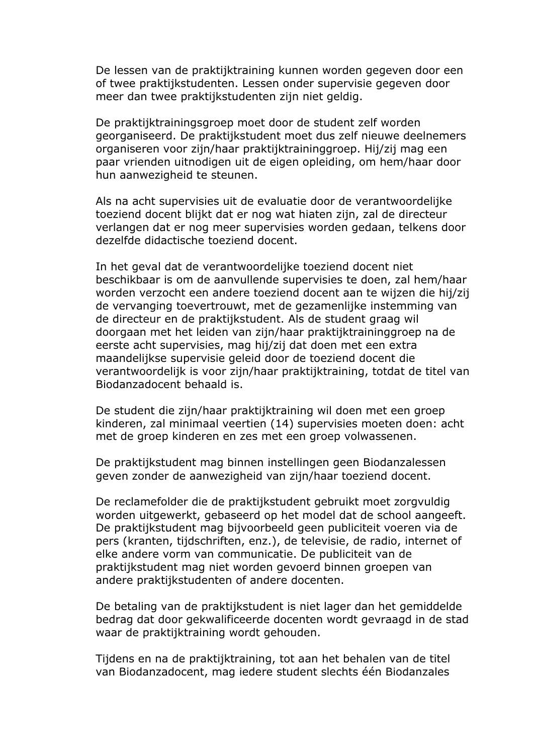De lessen van de praktijktraining kunnen worden gegeven door een of twee praktijkstudenten. Lessen onder supervisie gegeven door meer dan twee praktijkstudenten zijn niet geldig.

De praktijktrainingsgroep moet door de student zelf worden georganiseerd. De praktijkstudent moet dus zelf nieuwe deelnemers organiseren voor zijn/haar praktijktraininggroep. Hij/zij mag een paar vrienden uitnodigen uit de eigen opleiding, om hem/haar door hun aanwezigheid te steunen.

Als na acht supervisies uit de evaluatie door de verantwoordelijke toeziend docent blijkt dat er nog wat hiaten zijn, zal de directeur verlangen dat er nog meer supervisies worden gedaan, telkens door dezelfde didactische toeziend docent.

In het geval dat de verantwoordelijke toeziend docent niet beschikbaar is om de aanvullende supervisies te doen, zal hem/haar worden verzocht een andere toeziend docent aan te wijzen die hij/zij de vervanging toevertrouwt, met de gezamenlijke instemming van de directeur en de praktijkstudent. Als de student graag wil doorgaan met het leiden van zijn/haar praktijktraininggroep na de eerste acht supervisies, mag hij/zij dat doen met een extra maandelijkse supervisie geleid door de toeziend docent die verantwoordelijk is voor zijn/haar praktijktraining, totdat de titel van Biodanzadocent behaald is.

De student die zijn/haar praktijktraining wil doen met een groep kinderen, zal minimaal veertien (14) supervisies moeten doen: acht met de groep kinderen en zes met een groep volwassenen.

De praktijkstudent mag binnen instellingen geen Biodanzalessen geven zonder de aanwezigheid van zijn/haar toeziend docent.

De reclamefolder die de praktijkstudent gebruikt moet zorgvuldig worden uitgewerkt, gebaseerd op het model dat de school aangeeft. De praktijkstudent mag bijvoorbeeld geen publiciteit voeren via de pers (kranten, tijdschriften, enz.), de televisie, de radio, internet of elke andere vorm van communicatie. De publiciteit van de praktijkstudent mag niet worden gevoerd binnen groepen van andere praktijkstudenten of andere docenten.

De betaling van de praktijkstudent is niet lager dan het gemiddelde bedrag dat door gekwalificeerde docenten wordt gevraagd in de stad waar de praktijktraining wordt gehouden.

Tijdens en na de praktijktraining, tot aan het behalen van de titel van Biodanzadocent, mag jedere student slechts één Biodanzales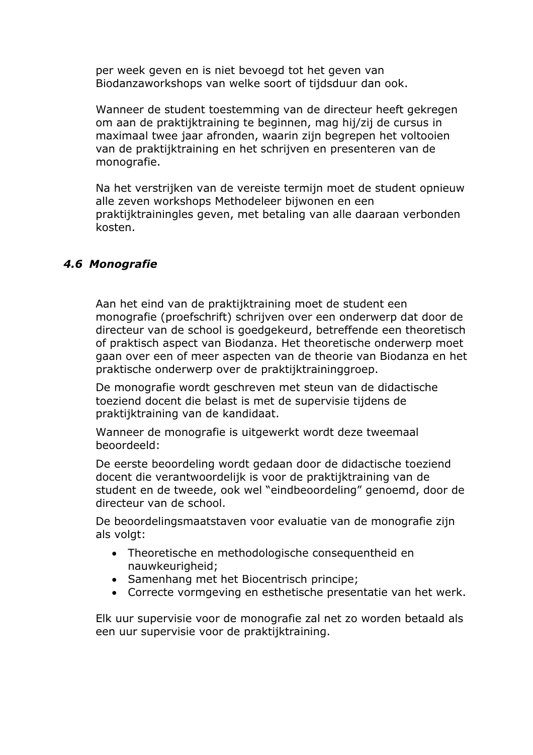per week geven en is niet bevoegd tot het geven van Biodanzaworkshops van welke soort of tijdsduur dan ook.

Wanneer de student toestemming van de directeur heeft gekregen om aan de praktijktraining te beginnen, mag hij/zij de cursus in maximaal twee jaar afronden, waarin zijn begrepen het voltooien van de praktijktraining en het schrijven en presenteren van de monografie.

Na het verstrijken van de vereiste termijn moet de student opnieuw alle zeven workshops Methodeleer bijwonen en een praktijktrainingles geven, met betaling van alle daaraan verbonden kosten.

#### 4.6 Monografie

Aan het eind van de praktijktraining moet de student een monografie (proefschrift) schrijven over een onderwerp dat door de directeur van de school is goedgekeurd, betreffende een theoretisch of praktisch aspect van Biodanza. Het theoretische onderwerp moet gaan over een of meer aspecten van de theorie van Biodanza en het praktische onderwerp over de praktijktraininggroep.

De monografie wordt geschreven met steun van de didactische toeziend docent die belast is met de supervisie tijdens de praktijktraining van de kandidaat.

Wanneer de monografie is uitgewerkt wordt deze tweemaal beoordeeld:

De eerste beoordeling wordt gedaan door de didactische toeziend docent die verantwoordelijk is voor de praktijktraining van de student en de tweede, ook wel "eindbeoordeling" genoemd, door de directeur van de school.

De beoordelingsmaatstaven voor evaluatie van de monografie zijn als volgt:

- Theoretische en methodologische consequentheid en nauwkeurigheid:
- Samenhang met het Biocentrisch principe:
- Correcte vormgeving en esthetische presentatie van het werk.

Elk uur supervisie voor de monografie zal net zo worden betaald als een uur supervisie voor de praktijktraining.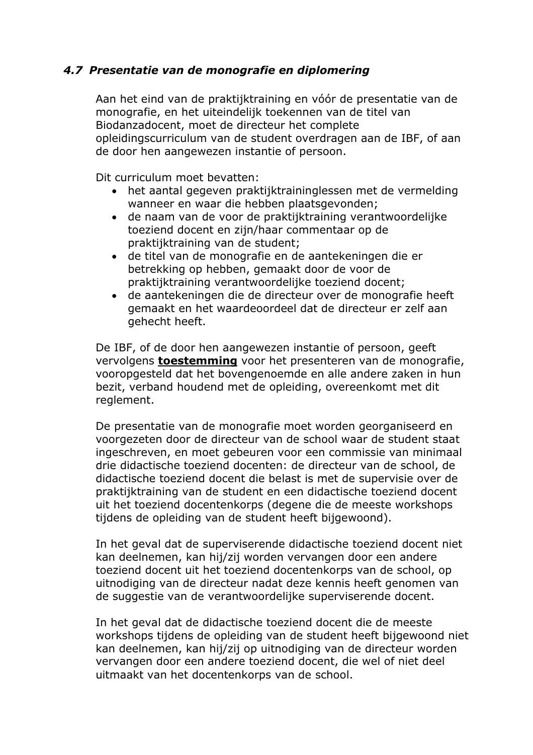## 4.7 Presentatie van de monografie en diplomering

Aan het eind van de praktijktraining en vóór de presentatie van de monografie, en het uiteindelijk toekennen van de titel van Biodanzadocent, moet de directeur het complete opleidingscurriculum van de student overdragen aan de IBF, of aan de door hen aangewezen instantie of persoon.

Dit curriculum moet bevatten:

- het aantal gegeven praktijktraininglessen met de vermelding wanneer en waar die hebben plaatsgevonden;
- · de naam van de voor de praktijktraining verantwoordelijke toeziend docent en zijn/haar commentaar op de praktijktraining van de student;
- · de titel van de monografie en de aantekeningen die er betrekking op hebben, gemaakt door de voor de praktijktraining verantwoordelijke toeziend docent;
- · de aantekeningen die de directeur over de monografie heeft gemaakt en het waardeoordeel dat de directeur er zelf aan gehecht heeft.

De IBF, of de door hen aangewezen instantie of persoon, geeft vervolgens **toestemming** voor het presenteren van de monografie, vooropgesteld dat het bovengenoemde en alle andere zaken in hun bezit, verband houdend met de opleiding, overeenkomt met dit reglement.

De presentatie van de monografie moet worden georganiseerd en voorgezeten door de directeur van de school waar de student staat ingeschreven, en moet gebeuren voor een commissie van minimaal drie didactische toeziend docenten: de directeur van de school, de didactische toeziend docent die belast is met de supervisie over de praktijktraining van de student en een didactische toeziend docent uit het toeziend docentenkorps (degene die de meeste workshops tijdens de opleiding van de student heeft bijgewoond).

In het geval dat de superviserende didactische toeziend docent niet kan deelnemen, kan hij/zij worden vervangen door een andere toeziend docent uit het toeziend docentenkorps van de school, op uitnodiging van de directeur nadat deze kennis heeft genomen van de suggestie van de verantwoordelijke superviserende docent.

In het geval dat de didactische toeziend docent die de meeste workshops tijdens de opleiding van de student heeft bijgewoond niet kan deelnemen, kan hij/zij op uitnodiging van de directeur worden vervangen door een andere toeziend docent, die wel of niet deel uitmaakt van het docentenkorps van de school.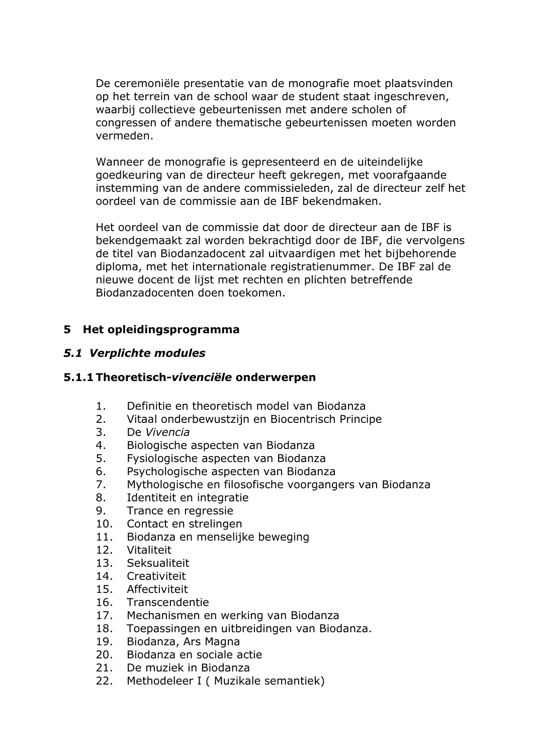De ceremoniële presentatie van de monografie moet plaatsvinden op het terrein van de school waar de student staat ingeschreven, waarbij collectieve gebeurtenissen met andere scholen of congressen of andere thematische gebeurtenissen moeten worden vermeden.

Wanneer de monografie is gepresenteerd en de uiteindelijke goedkeuring van de directeur heeft gekregen, met voorafgaande instemming van de andere commissieleden, zal de directeur zelf het oordeel van de commissie aan de IBF bekendmaken.

Het oordeel van de commissie dat door de directeur aan de IBF is bekendgemaakt zal worden bekrachtigd door de IBF, die vervolgens de titel van Biodanzadocent zal uitvaardigen met het bijbehorende diploma, met het internationale registratienummer. De IBF zal de nieuwe docent de lijst met rechten en plichten betreffende Biodanzadocenten doen toekomen.

## 5 Het opleidingsprogramma

## 5.1 Verplichte modules

#### 5.1.1 Theoretisch-vivenciële onderwerpen

- $1.$ Definitie en theoretisch model van Biodanza
- $2<sub>1</sub>$ Vitaal onderbewustzijn en Biocentrisch Principe
- $\overline{3}$ . De Vivencia
- $4_{-}$ Biologische aspecten van Biodanza
- $5<sub>1</sub>$ Fysiologische aspecten van Biodanza
- 6. Psychologische aspecten van Biodanza
- $7.$ Mythologische en filosofische voorgangers van Biodanza
- $8<sub>1</sub>$ Identiteit en integratie
- 9. Trance en regressie
- $10.$ Contact en strelingen
- $11.$ Biodanza en menselijke beweging
- 12. Vitaliteit
- $13<sub>1</sub>$ Seksualiteit
- $14$ Creativiteit
- $15.$ Affectiviteit
- 16. Transcendentie
- $17.$ Mechanismen en werking van Biodanza
- 18. Toepassingen en uitbreidingen van Biodanza.
- 19. Biodanza, Ars Magna
- $20<sub>1</sub>$ Biodanza en sociale actie
- $21.$ De muziek in Biodanza
- Methodeleer I (Muzikale semantiek) 22.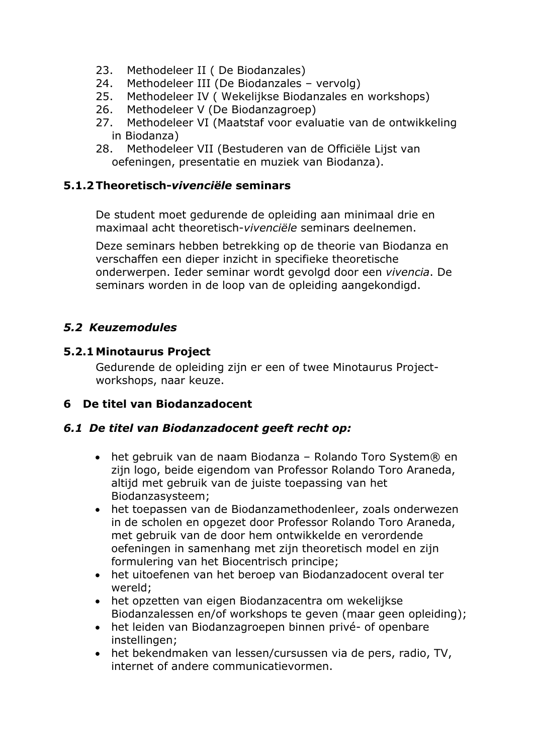- $23.$ Methodeleer II (De Biodanzales)
- Methodeleer III (De Biodanzales vervolg)  $24.$
- Methodeleer IV ( Wekelijkse Biodanzales en workshops)  $25.$
- 26. Methodeleer V (De Biodanzagroep)
- $27.$ Methodeleer VI (Maatstaf voor evaluatie van de ontwikkeling in Biodanza)
- 28. Methodeleer VII (Bestuderen van de Officiële Lijst van oefeningen, presentatie en muziek van Biodanza).

#### 5.1.2 Theoretisch-vivenciële seminars

De student moet gedurende de opleiding aan minimaal drie en maximaal acht theoretisch-vivenciële seminars deelnemen.

Deze seminars hebben betrekking op de theorie van Biodanza en verschaffen een dieper inzicht in specifieke theoretische onderwerpen. Ieder seminar wordt gevolgd door een vivencia. De seminars worden in de loop van de opleiding aangekondigd.

## 5.2 Keuzemodules

## 5.2.1 Minotaurus Project

Gedurende de opleiding zijn er een of twee Minotaurus Projectworkshops, naar keuze.

## 6 De titel van Biodanzadocent

## 6.1 De titel van Biodanzadocent geeft recht op:

- het gebruik van de naam Biodanza Rolando Toro System® en zijn logo, beide eigendom van Professor Rolando Toro Araneda, altijd met gebruik van de juiste toepassing van het Biodanzasysteem;
- het toepassen van de Biodanzamethodenleer, zoals onderwezen in de scholen en opgezet door Professor Rolando Toro Araneda, met gebruik van de door hem ontwikkelde en verordende oefeningen in samenhang met zijn theoretisch model en zijn formulering van het Biocentrisch principe;
- het uitoefenen van het beroep van Biodanzadocent overal ter wereld:
- het opzetten van eigen Biodanzacentra om wekelijkse Biodanzalessen en/of workshops te geven (maar geen opleiding);
- het leiden van Biodanzagroepen binnen privé- of openbare instellingen;
- het bekendmaken van lessen/cursussen via de pers, radio, TV, internet of andere communicatievormen.